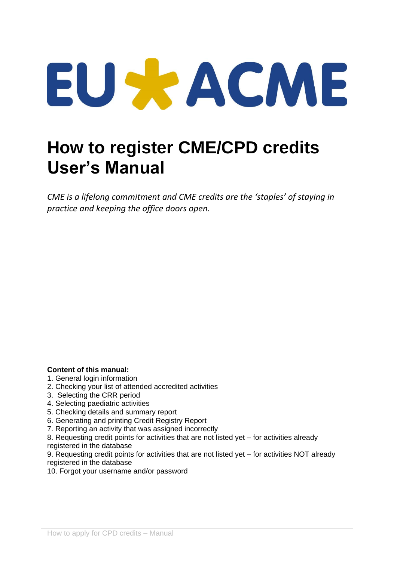# EU SE ACME

## **How to register CME/CPD credits User's Manual**

*CME is a lifelong commitment and CME credits are the 'staples' of staying in practice and keeping the office doors open.* 

#### **Content of this manual:**

- 1. General login information
- 2. Checking your list of attended accredited activities
- 3. Selecting the CRR period
- 4. Selecting paediatric activities
- 5. Checking details and summary report
- 6. Generating and printing Credit Registry Report
- 7. Reporting an activity that was assigned incorrectly
- 8. Requesting credit points for activities that are not listed yet for activities already registered in the database

9. Requesting credit points for activities that are not listed yet – for activities NOT already registered in the database

10. Forgot your username and/or password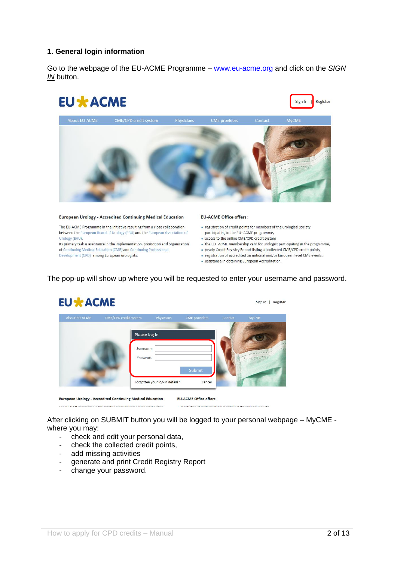#### **1. General login information**

Go to the webpage of the EU-ACME Programme – [www.eu-acme.org](http://www.eu-acme.org/) and click on the *SIGN IN* button.



#### **European Urology - Accredited Continuing Medical Education**

The EU-ACME Programme in the initiative resulting from a close collaboration between the European Board of Urology (EBU) and the European Association of Urology (EAU).

Its primary task is assistance in the implementation, promotion and organization of Continuing Medical Education (CME) and Continuing Professional Development (CPD) among European urologists.

#### **EU-ACME Office offers:**

- · registration of credit points for members of the urological society
- participating in the EU-ACME programme, · access to the online CME/CPD credit system
- . the EU-ACME membership card for urologist participating in the programme,
- . yearly Credit Registry Report listing all collected CME/CPD credit points,
- · registration of accredited on national and/or European level CME events,
- · assistance in obtaining European Accreditation.

#### The pop-up will show up where you will be requested to enter your username and password.

| <b>About EU-ACME</b> | <b>CME/CPD</b> credit system          | Physicians                     | <b>CME</b> providers | Contact | <b>MyCME</b> |
|----------------------|---------------------------------------|--------------------------------|----------------------|---------|--------------|
|                      | Please log in<br>Username<br>Password |                                | <b>Submit</b>        |         |              |
|                      |                                       | Forgotten your log-in details? | Cancel               |         |              |

After clicking on SUBMIT button you will be logged to your personal webpage – MyCME where you may:

- check and edit your personal data,
- check the collected credit points,
- add missing activities

<u>man and a straight the </u>

- generate and print Credit Registry Report
- change your password.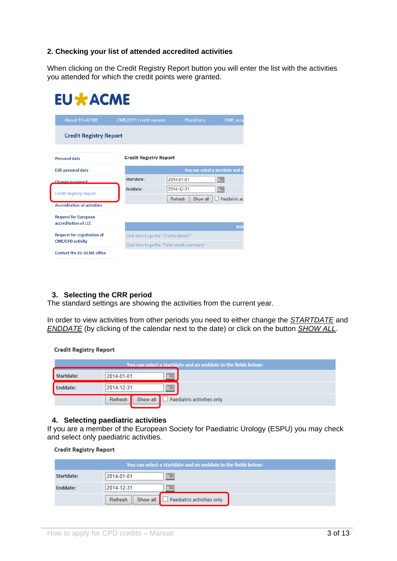#### **2. Checking your list of attended accredited activities**

When clicking on the Credit Registry Report button you will enter the list with the activities you attended for which the credit points were granted.

#### **EU \* ACME** About EU-ACME **Credit Registry Report Credit Registry Report Personal data** You can select a startdate and a **Edit personal data**  $\overline{\mathbb{R}}$ Startdate:  $2014 - 01 - 01$ Enddate:  $2014 - 12 - 31$  $\boxed{50}$ **Credit Registry Report** Refresh Show all Paediatric ac **Accreditation of activities Request for European** accreditation of LEE **Request for registration of** Click here to go the "Credits details" **CME/CPD activity** Click here to go the "Total credits summary" Contact the EU-ACME office

#### **3. Selecting the CRR period**

The standard settings are showing the activities from the current year.

In order to view activities from other periods you need to either change the *STARTDATE* and *ENDDATE* (by clicking of the calendar next to the date) or click on the button *SHOW ALL*.

**Credit Registry Report** 

| You can select a startdate and an enddate in the fields below: |                                                              |  |  |  |  |  |  |
|----------------------------------------------------------------|--------------------------------------------------------------|--|--|--|--|--|--|
| Startdate:                                                     | $\boxed{5}$<br>2014-01-01                                    |  |  |  |  |  |  |
| <b>Enddate:</b>                                                | 2014-12-31<br> ⊞o                                            |  |  |  |  |  |  |
|                                                                | Show all $\Box$ Paediatric activities only<br><b>Refresh</b> |  |  |  |  |  |  |

#### **4. Selecting paediatric activities**

If you are a member of the European Society for Paediatric Urology (ESPU) you may check and select only paediatric activities.

|  | <b>Credit Registry Report</b> |  |
|--|-------------------------------|--|
|--|-------------------------------|--|

| You can select a startdate and an enddate in the fields below: |                                                       |  |  |  |  |  |  |
|----------------------------------------------------------------|-------------------------------------------------------|--|--|--|--|--|--|
| Startdate:                                                     | $\overline{ }$<br>2014-01-01                          |  |  |  |  |  |  |
| Enddate:                                                       | 2014-12-31<br> ⊞o                                     |  |  |  |  |  |  |
|                                                                | Show all $\Box$ Paediatric activities only<br>Refresh |  |  |  |  |  |  |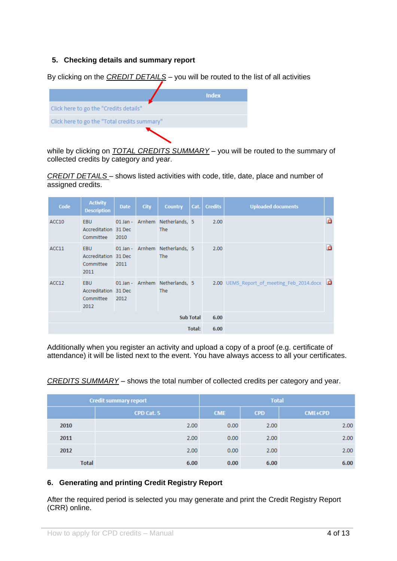#### **5. Checking details and summary report**

By clicking on the *CREDIT DETAILS* – you will be routed to the list of all activities



while by clicking on *TOTAL CREDITS SUMMARY* – you will be routed to the summary of collected credits by category and year.

*CREDIT DETAILS* – shows listed activities with code, title, date, place and number of assigned credits.

| Code              | <b>Activity</b><br><b>Description</b>                   | <b>Date</b> | <b>City</b> | <b>Country</b>                               | Cat.   | <b>Credits</b> | <b>Uploaded documents</b>                   |   |
|-------------------|---------------------------------------------------------|-------------|-------------|----------------------------------------------|--------|----------------|---------------------------------------------|---|
| ACC10             | EBU<br>Accreditation 31 Dec<br>Committee                | 2010        |             | 01 Jan - Arnhem Netherlands, 5<br><b>The</b> |        | 2.00           |                                             | d |
| ACC <sub>11</sub> | EBU<br>Accreditation 31 Dec<br>Committee<br>2011        | 2011        |             | 01 Jan - Arnhem Netherlands, 5<br>The        |        | 2.00           |                                             | a |
| ACC12             | <b>EBU</b><br>Accreditation 31 Dec<br>Committee<br>2012 | 2012        |             | 01 Jan - Arnhem Netherlands, 5<br><b>The</b> |        |                | 2.00 UEMS_Report_of_meeting_Feb_2014.docx 3 |   |
| <b>Sub Total</b>  |                                                         |             |             |                                              |        | 6.00           |                                             |   |
|                   |                                                         |             |             |                                              | Total: | 6.00           |                                             |   |

Additionally when you register an activity and upload a copy of a proof (e.g. certificate of attendance) it will be listed next to the event. You have always access to all your certificates.

|              | <b>Credit summary report</b> | <b>Total</b>      |            |                |  |
|--------------|------------------------------|-------------------|------------|----------------|--|
|              | CPD Cat. 5                   | <b>CME</b>        | <b>CPD</b> | <b>CME+CPD</b> |  |
| 2010         | 2.00                         | 0.00 <sub>1</sub> | 2.00       | 2.00           |  |
| 2011         | 2.00                         | 0.00              | 2.00       | 2.00           |  |
| 2012         | 2.00                         | 0.00              | 2.00       | 2.00           |  |
| <b>Total</b> | 6.00                         | 0.00              | 6.00       | 6.00           |  |

#### *CREDITS SUMMARY* – shows the total number of collected credits per category and year.

#### **6. Generating and printing Credit Registry Report**

After the required period is selected you may generate and print the Credit Registry Report (CRR) online.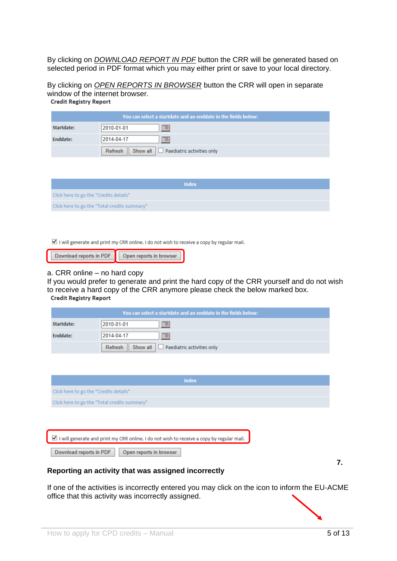By clicking on *DOWNLOAD REPORT IN PDF* button the CRR will be generated based on selected period in PDF format which you may either print or save to your local directory.

By clicking on *OPEN REPORTS IN BROWSER* button the CRR will open in separate window of the internet browser.<br>Credit Registry Report

| You can select a startdate and an enddate in the fields below: |                                                                     |  |  |  |  |  |
|----------------------------------------------------------------|---------------------------------------------------------------------|--|--|--|--|--|
| Startdate:                                                     | 2010-01-01<br>⊞o                                                    |  |  |  |  |  |
| Enddate:                                                       | 2014-04-17<br>$\overline{ }$                                        |  |  |  |  |  |
|                                                                | Refresh $\parallel$ Show all $\parallel$ Paediatric activities only |  |  |  |  |  |

| Index                                        |
|----------------------------------------------|
| Click here to go the "Credits details"       |
| Click here to go the "Total credits summary" |

I will generate and print my CRR online. I do not wish to receive a copy by regular mail.

| Download reports in PDF | Open reports in browser |
|-------------------------|-------------------------|
|                         |                         |

#### a. CRR online – no hard copy

If you would prefer to generate and print the hard copy of the CRR yourself and do not wish to receive a hard copy of the CRR anymore please check the below marked box.<br>Credit Registry Report

| You can select a startdate and an enddate in the fields below: |                                                       |  |  |  |  |  |
|----------------------------------------------------------------|-------------------------------------------------------|--|--|--|--|--|
| Startdate:                                                     | 2010-01-01<br>▩                                       |  |  |  |  |  |
| Enddate:                                                       | 2014-04-17<br> ⊞o                                     |  |  |  |  |  |
|                                                                | Show all $\Box$ Paediatric activities only<br>Refresh |  |  |  |  |  |

| <b>Index</b>                                                                              |
|-------------------------------------------------------------------------------------------|
| Click here to go the "Credits details"                                                    |
| Click here to go the "Total credits summary"                                              |
|                                                                                           |
|                                                                                           |
| I will generate and print my CRR online. I do not wish to receive a copy by regular mail. |
| Download reports in PDF<br>Open reports in browser                                        |

**7.** 

#### **Reporting an activity that was assigned incorrectly**

If one of the activities is incorrectly entered you may click on the icon to inform the EU-ACME office that this activity was incorrectly assigned.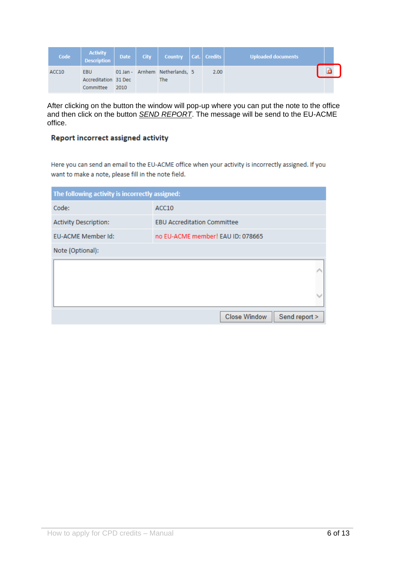| Code  | <b>Activity</b><br><b>Description</b>           | Date | City   Country   Cat.   Credits       |      | Uploaded documents |  |
|-------|-------------------------------------------------|------|---------------------------------------|------|--------------------|--|
| ACC10 | <b>EBU</b><br>Accreditation 31 Dec<br>Committee | 2010 | 01 Jan - Arnhem Netherlands, 5<br>The | 2.00 |                    |  |

After clicking on the button the window will pop-up where you can put the note to the office and then click on the button *SEND REPORT*. The message will be send to the EU-ACME office.

#### Report incorrect assigned activity

Here you can send an email to the EU-ACME office when your activity is incorrectly assigned. If you want to make a note, please fill in the note field.

| The following activity is incorrectly assigned: |                                      |
|-------------------------------------------------|--------------------------------------|
| Code:                                           | ACC <sub>10</sub>                    |
| <b>Activity Description:</b>                    | <b>EBU Accreditation Committee</b>   |
| <b>EU-ACME Member Id:</b>                       | no EU-ACME member! EAU ID: 078665    |
| Note (Optional):                                |                                      |
|                                                 |                                      |
|                                                 |                                      |
|                                                 | <b>Close Window</b><br>Send report > |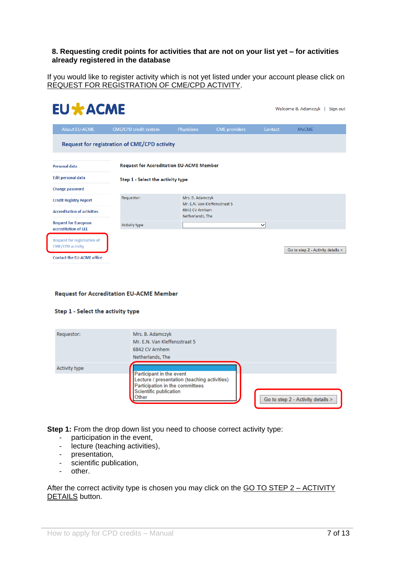#### **8. Requesting credit points for activities that are not on your list yet – for activities already registered in the database**

If you would like to register activity which is not yet listed under your account please click on REQUEST FOR REGISTRATION OF CME/CPD ACTIVITY.

| <b>EU * ACME</b>                                              |                                                     |                                    |                               |         | Welcome B. Adamczyk  <br>Sign out |
|---------------------------------------------------------------|-----------------------------------------------------|------------------------------------|-------------------------------|---------|-----------------------------------|
| <b>About EU-ACME</b>                                          | CME/CPD credit system                               | <b>Physicians</b>                  | <b>CME</b> providers          | Contact | <b>MyCME</b>                      |
|                                                               | <b>Request for registration of CME/CPD activity</b> |                                    |                               |         |                                   |
| <b>Personal data</b>                                          | <b>Request for Accreditation EU-ACME Member</b>     |                                    |                               |         |                                   |
| <b>Edit personal data</b>                                     | Step 1 - Select the activity type                   |                                    |                               |         |                                   |
| <b>Change password</b>                                        |                                                     |                                    |                               |         |                                   |
| <b>Credit Registry Report</b>                                 | Requestor:                                          | Mrs. B. Adamczyk                   | Mr. E.N. Van Kleffensstraat 5 |         |                                   |
| <b>Accreditation of activities</b>                            |                                                     | 6842 CV Arnhem<br>Netherlands, The |                               |         |                                   |
| <b>Request for European</b><br>accreditation of LEE           | <b>Activity type</b>                                |                                    |                               | ◡       |                                   |
| <b>Request for registration of</b><br><b>CME/CPD activity</b> |                                                     |                                    |                               |         | Go to step 2 - Activity details > |
| <b>Contact the EU-ACME office</b>                             |                                                     |                                    |                               |         |                                   |

#### **Request for Accreditation EU-ACME Member**

#### Step 1 - Select the activity type

| Requestor:    | Mrs. B. Adamczyk<br>Mr. E.N. Van Kleffensstraat 5<br>6842 CV Arnhem<br>Netherlands, The                                                                                             |
|---------------|-------------------------------------------------------------------------------------------------------------------------------------------------------------------------------------|
| Activity type | Participant in the event<br>Lecture / presentation (teaching activities)<br>Participation in the committees<br>Scientific publication<br>Other<br>Go to step 2 - Activity details > |

**Step 1:** From the drop down list you need to choose correct activity type:

- participation in the event,
- lecture (teaching activities),
- presentation,
- scientific publication,
- other.

After the correct activity type is chosen you may click on the GO TO STEP 2 – ACTIVITY DETAILS button.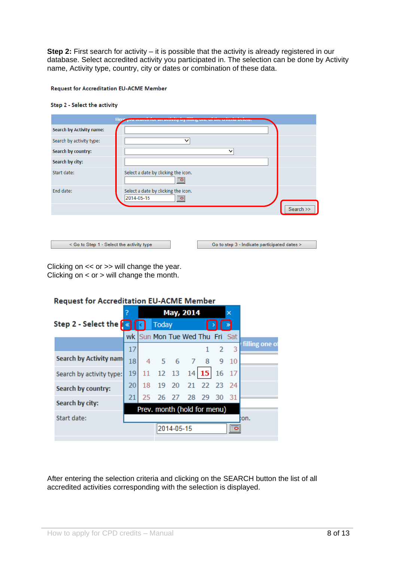**Step 2:** First search for activity – it is possible that the activity is already registered in our database. Select accredited activity you participated in. The selection can be done by Activity name, Activity type, country, city or dates or combination of these data.

#### **Request for Accreditation EU-ACME Member**

#### Step 2 - Select the activity

|                                           | Here:                                                                             |
|-------------------------------------------|-----------------------------------------------------------------------------------|
| <b>Search by Activity name:</b>           |                                                                                   |
| Search by activity type:                  | $\checkmark$                                                                      |
| Search by country:                        | $\checkmark$                                                                      |
| Search by city:                           |                                                                                   |
| Start date:                               | Select a date by clicking the icon.<br>$\blacksquare$                             |
| End date:                                 | Select a date by clicking the icon.<br>2014-05-15<br>$\boxed{\circ}$<br>Search >> |
| < Go to Step 1 - Select the activity type | Go to step 3 - Indicate participated dates >                                      |

Clicking on << or >> will change the year. Clicking on  $<$  or  $>$  will change the month.

#### **Request for Accreditation EU-ACME Member** May, 2014 Step 2 - Select the  $\lceil \mathcal{R} \rceil$ Today k wk Sun Mon Tue Wed Thu Fri Sat filling one o  $\overline{3}$  $17$  $\overline{z}$ 1 **Search by Activity nam** 18  $\overline{4}$ 5 6  $\overline{7}$ 8 9  $10$ 19  $14$  15 16 17 11 12 13 Search by activity type: 20 23 18 19 20  $21$ 22 24 Search by country: 28 29 30 21 25 26 27 31 Search by city: Prev. month (hold for menu) Start date: .cn  $\overline{\mathbb{R}}$ 2014-05-15

After entering the selection criteria and clicking on the SEARCH button the list of all accredited activities corresponding with the selection is displayed.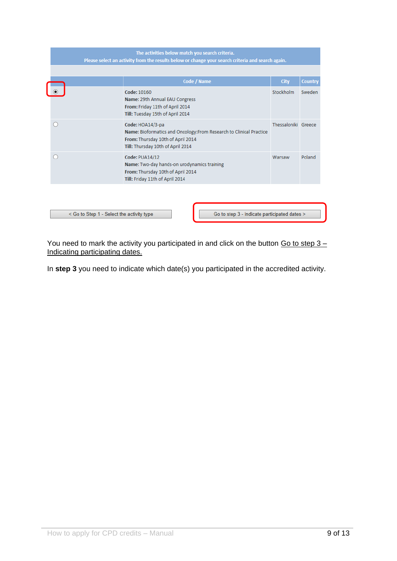| The activities below match you search criteria.<br>Please select an activity from the results below or change your search criteria and search again. |                                                                                                                                                                   |                     |                |
|------------------------------------------------------------------------------------------------------------------------------------------------------|-------------------------------------------------------------------------------------------------------------------------------------------------------------------|---------------------|----------------|
|                                                                                                                                                      | <b>Code / Name</b>                                                                                                                                                | <b>City</b>         | <b>Country</b> |
|                                                                                                                                                      | Code: 10160<br>Name: 29th Annual EAU Congress<br>From: Friday 11th of April 2014<br>Till: Tuesday 15th of April 2014                                              | <b>Stockholm</b>    | Sweden         |
|                                                                                                                                                      | Code: HOA14/3-pa<br>Name: Bioformatics and Oncology: From Research to Clinical Practice<br>From: Thursday 10th of April 2014<br>Till: Thursday 10th of April 2014 | Thessaloniki Greece |                |
|                                                                                                                                                      | <b>Code: PUA14/12</b><br>Name: Two-day hands-on urodynamics training<br>From: Thursday 10th of April 2014<br>Till: Friday 11th of April 2014                      | Warsaw              | Poland         |
|                                                                                                                                                      |                                                                                                                                                                   |                     |                |

< Go to Step 1 - Select the activity type Go to step 3 - Indicate participated dates >

You need to mark the activity you participated in and click on the button  $Go$  to step  $3 -$ Indicating participating dates.

In **step 3** you need to indicate which date(s) you participated in the accredited activity.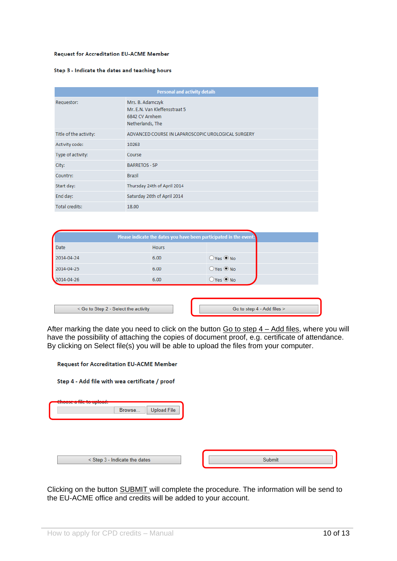#### **Request for Accreditation EU-ACME Member**

#### Step 3 - Indicate the dates and teaching hours

| <b>Personal and activity details</b> |                                                                                         |  |
|--------------------------------------|-----------------------------------------------------------------------------------------|--|
| Requestor:                           | Mrs. B. Adamczyk<br>Mr. E.N. Van Kleffensstraat 5<br>6842 CV Arnhem<br>Netherlands, The |  |
| Title of the activity:               | ADVANCED COURSE IN LAPAROSCOPIC UROLOGICAL SURGERY                                      |  |
| Activity code:                       | 10263                                                                                   |  |
| Type of activity:                    | Course                                                                                  |  |
| City:                                | <b>BARRETOS - SP</b>                                                                    |  |
| Country:                             | <b>Brazil</b>                                                                           |  |
| Start day:                           | Thursday 24th of April 2014                                                             |  |
| End day:                             | Saturday 26th of April 2014                                                             |  |
| <b>Total credits:</b>                | 18.00                                                                                   |  |

| Please indicate the dates you have been participated in the event: |              |                    |  |
|--------------------------------------------------------------------|--------------|--------------------|--|
| Date                                                               | <b>Hours</b> |                    |  |
| 2014-04-24                                                         | 6.00         | $O$ Yes $\odot$ No |  |
| 2014-04-25                                                         | 6.00         | $O$ Yes $\odot$ No |  |
| 2014-04-26                                                         | 6.00         | $O$ Yes $\odot$ No |  |

| < Go to Step 2 - Select the activity | Go to step 4 - Add files > |
|--------------------------------------|----------------------------|
|                                      |                            |

After marking the date you need to click on the button Go to step 4 – Add files, where you will have the possibility of attaching the copies of document proof, e.g. certificate of attendance. By clicking on Select file(s) you will be able to upload the files from your computer.

| <b>Request for Accreditation EU-ACME Member</b> |        |
|-------------------------------------------------|--------|
| Step 4 - Add file with wea certificate / proof  |        |
| <b>Upload File</b><br>Browse                    |        |
| < Step 3 - Indicate the dates                   | Submit |

Clicking on the button SUBMIT will complete the procedure. The information will be send to the EU-ACME office and credits will be added to your account.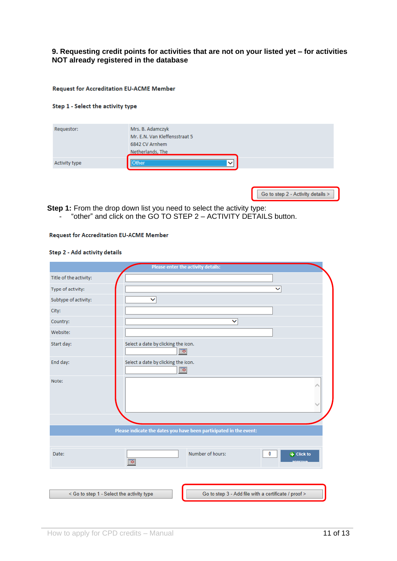#### **9. Requesting credit points for activities that are not on your listed yet – for activities NOT already registered in the database**

**Request for Accreditation EU-ACME Member** 

#### Step 1 - Select the activity type

|                               | 6842 CV Arnhem<br>Netherlands, The |
|-------------------------------|------------------------------------|
| <b>Other</b><br>Activity type | $\checkmark$                       |

Go to step 2 - Activity details >

**Step 1:** From the drop down list you need to select the activity type:

- "other" and click on the GO TO STEP 2 – ACTIVITY DETAILS button.

#### **Request for Accreditation EU-ACME Member**

#### Step 2 - Add activity details

|                                           | Please enter the activity details:                                 |
|-------------------------------------------|--------------------------------------------------------------------|
| Title of the activity:                    |                                                                    |
| Type of activity:                         | $\checkmark$                                                       |
| Subtype of activity:                      | $\checkmark$                                                       |
| City:                                     |                                                                    |
| Country:                                  | $\checkmark$                                                       |
| Website:                                  |                                                                    |
| Start day:                                | Select a date by clicking the icon.<br>$\boxed{5}$                 |
| End day:                                  | Select a date by clicking the icon.<br>$\blacksquare$              |
| Note:                                     | △                                                                  |
|                                           |                                                                    |
|                                           | Please indicate the dates you have been participated in the event: |
|                                           |                                                                    |
| Date:                                     | Number of hours:<br>0<br>+ Click to<br>$\boxed{\circ}$             |
|                                           |                                                                    |
| < Go to step 1 - Select the activity type | Go to step 3 - Add file with a certificate / proof >               |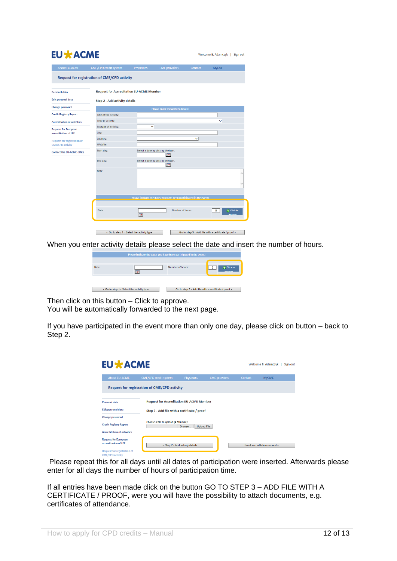### **EU \* ACME**

| <b>About EU-ACME</b>               | <b>CME/CPD credit system</b>                        | Physicians                                | <b>CME</b> providers                                               | Contact | <b>MyCME</b>                                         |
|------------------------------------|-----------------------------------------------------|-------------------------------------------|--------------------------------------------------------------------|---------|------------------------------------------------------|
|                                    | <b>Request for registration of CME/CPD activity</b> |                                           |                                                                    |         |                                                      |
| Personal data                      | <b>Request for Accreditation EU-ACME Member</b>     |                                           |                                                                    |         |                                                      |
| <b>Edit personal data</b>          | <b>Step 2 - Add activity details</b>                |                                           |                                                                    |         |                                                      |
| <b>Change password</b>             |                                                     |                                           | Please enter the activity details:                                 |         |                                                      |
| <b>Credit Registry Report</b>      | Title of the activity:                              |                                           |                                                                    |         |                                                      |
| <b>Accreditation of activities</b> | Type of activity:                                   |                                           |                                                                    |         | v                                                    |
| <b>Request for European</b>        | Subtype of activity:                                | v                                         |                                                                    |         |                                                      |
| accreditation of LEE               | City:                                               |                                           |                                                                    |         |                                                      |
| <b>Request for registration of</b> | Country:                                            |                                           |                                                                    | v       |                                                      |
| <b>CME/CPD activity</b>            | Website:                                            |                                           |                                                                    |         |                                                      |
| <b>Contact the EU-ACME office</b>  | Start day:                                          |                                           | Select a date by clicking the icon.<br>ाठ                          |         |                                                      |
|                                    | End day:                                            |                                           | Select a date by clicking the icon.<br>$\boxed{\circ}$             |         |                                                      |
|                                    | Note:                                               |                                           |                                                                    |         |                                                      |
|                                    |                                                     |                                           | Please indicate the dates you have been participated in the event: |         |                                                      |
|                                    | Date:                                               | $\boxed{\circ}$                           | Number of hours:                                                   |         | $\overline{+}$ Click to<br>$\mathbf{0}$              |
|                                    |                                                     | < Go to step 1 - Select the activity type |                                                                    |         | Go to step 3 - Add file with a certificate / proof > |

When you enter activity details please select the date and insert the number of hours.

Welcome B. Adamczyk | Sign out

|       | Please indicate the dates you have been participated in the event: |                  |                                                      |
|-------|--------------------------------------------------------------------|------------------|------------------------------------------------------|
| Date: | $\overline{\phantom{a}}$                                           | Number of hours: | + Click to<br>annroya                                |
|       | < Go to step 1 - Select the activity type                          |                  | Go to step 3 - Add file with a certificate / proof > |

Then click on this button – Click to approve.

You will be automatically forwarded to the next page.

If you have participated in the event more than only one day, please click on button – back to Step 2.

| <b>EU * ACME</b><br>Welcome B. Adamczyk                       |                                                     |                                                                     |                      |         |                              | Sign out |
|---------------------------------------------------------------|-----------------------------------------------------|---------------------------------------------------------------------|----------------------|---------|------------------------------|----------|
| <b>About EU-ACME</b>                                          | <b>CME/CPD credit system</b>                        | <b>Physicians</b>                                                   | <b>CME</b> providers | Contact | <b>MVCME</b>                 |          |
|                                                               | <b>Request for registration of CME/CPD activity</b> |                                                                     |                      |         |                              |          |
| <b>Personal data</b>                                          | <b>Request for Accreditation EU-ACME Member</b>     |                                                                     |                      |         |                              |          |
| <b>Edit personal data</b>                                     |                                                     | Step 3 - Add file with a certificate / proof                        |                      |         |                              |          |
| <b>Change password</b>                                        |                                                     |                                                                     |                      |         |                              |          |
| <b>Credit Registry Report</b>                                 |                                                     | Choose a file to upload (4 MB max):<br><b>Upload File</b><br>Browse |                      |         |                              |          |
| <b>Accreditation of activities</b>                            |                                                     |                                                                     |                      |         |                              |          |
| <b>Request for European</b><br>accreditation of LEE           |                                                     | < Step 2 - Add activity details                                     |                      |         | Send accreditation request > |          |
| <b>Request for registration of</b><br><b>CME/CPD activity</b> |                                                     |                                                                     |                      |         |                              |          |

Please repeat this for all days until all dates of participation were inserted. Afterwards please enter for all days the number of hours of participation time.

If all entries have been made click on the button GO TO STEP 3 – ADD FILE WITH A CERTIFICATE / PROOF, were you will have the possibility to attach documents, e.g. certificates of attendance.